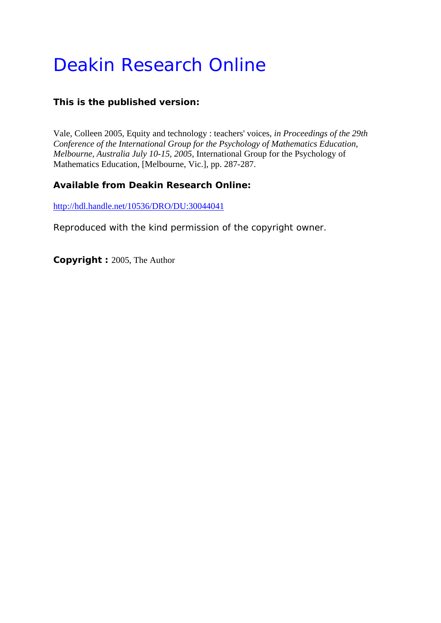# Deakin Research Online

### **This is the published version:**

Vale, Colleen 2005, Equity and technology : teachers' voices*, in Proceedings of the 29th Conference of the International Group for the Psychology of Mathematics Education, Melbourne, Australia July 10-15, 2005*, International Group for the Psychology of Mathematics Education, [Melbourne, Vic.], pp. 287-287.

#### **Available from Deakin Research Online:**

http://hdl.handle.net/10536/DRO/DU:30044041

Reproduced with the kind permission of the copyright owner.

**Copyright :** 2005, The Author